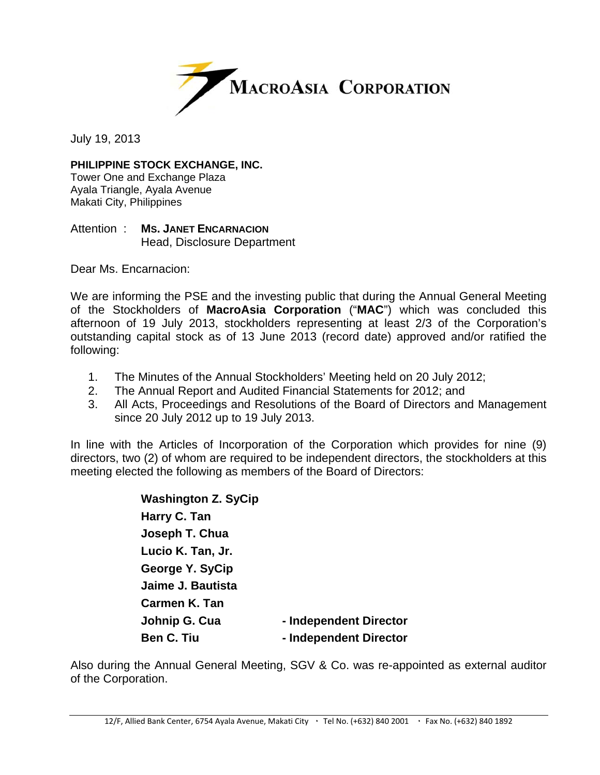

July 19, 2013

## **PHILIPPINE STOCK EXCHANGE, INC.**

Tower One and Exchange Plaza Ayala Triangle, Ayala Avenue Makati City, Philippines

## Attention : **MS. JANET ENCARNACION** Head, Disclosure Department

Dear Ms. Encarnacion:

We are informing the PSE and the investing public that during the Annual General Meeting of the Stockholders of **MacroAsia Corporation** ("**MAC**") which was concluded this afternoon of 19 July 2013, stockholders representing at least 2/3 of the Corporation's outstanding capital stock as of 13 June 2013 (record date) approved and/or ratified the following:

- 1. The Minutes of the Annual Stockholders' Meeting held on 20 July 2012;
- 2. The Annual Report and Audited Financial Statements for 2012; and
- 3. All Acts, Proceedings and Resolutions of the Board of Directors and Management since 20 July 2012 up to 19 July 2013.

In line with the Articles of Incorporation of the Corporation which provides for nine (9) directors, two (2) of whom are required to be independent directors, the stockholders at this meeting elected the following as members of the Board of Directors:

> **Washington Z. SyCip Harry C. Tan Joseph T. Chua Lucio K. Tan, Jr. George Y. SyCip Jaime J. Bautista Carmen K. Tan Johnip G. Cua** - Independent Director **Ben C. Tiu**  $\qquad \qquad$  **- Independent Director**

Also during the Annual General Meeting, SGV & Co. was re-appointed as external auditor of the Corporation.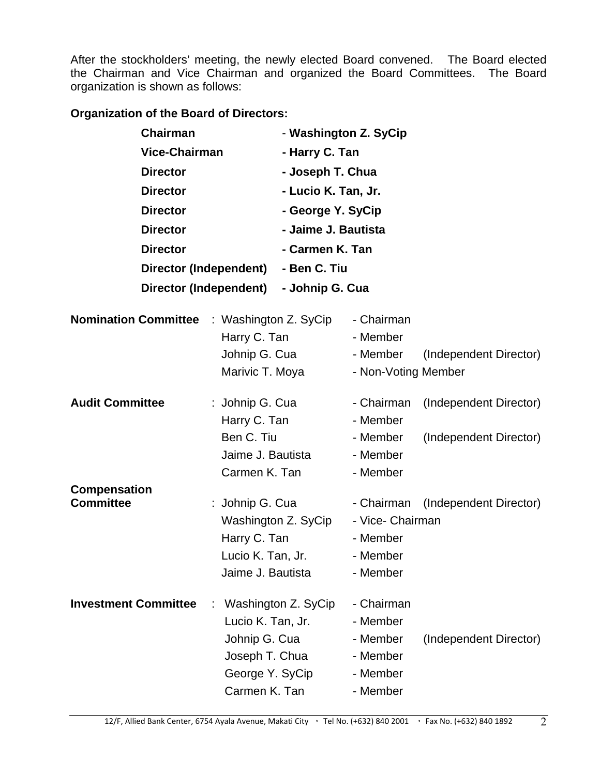After the stockholders' meeting, the newly elected Board convened. The Board elected the Chairman and Vice Chairman and organized the Board Committees. The Board organization is shown as follows:

**Organization of the Board of Directors:** 

| <b>Chairman</b>                         | <b>Vice-Chairman</b><br><b>Director</b><br><b>Director</b><br><b>Director</b> |                                        | - Washington Z. SyCip<br>- Harry C. Tan<br>- Joseph T. Chua<br>- Lucio K. Tan, Jr.<br>- George Y. SyCip |                                            |  |
|-----------------------------------------|-------------------------------------------------------------------------------|----------------------------------------|---------------------------------------------------------------------------------------------------------|--------------------------------------------|--|
|                                         |                                                                               |                                        |                                                                                                         |                                            |  |
|                                         |                                                                               |                                        |                                                                                                         |                                            |  |
|                                         |                                                                               |                                        |                                                                                                         |                                            |  |
|                                         |                                                                               |                                        |                                                                                                         |                                            |  |
| <b>Director</b>                         |                                                                               | - Jaime J. Bautista                    |                                                                                                         |                                            |  |
| <b>Director</b>                         |                                                                               | - Carmen K. Tan                        |                                                                                                         |                                            |  |
|                                         | <b>Director (Independent)</b>                                                 |                                        | - Ben C. Tiu                                                                                            |                                            |  |
| Director (Independent)                  |                                                                               | - Johnip G. Cua                        |                                                                                                         |                                            |  |
|                                         |                                                                               |                                        | - Chairman                                                                                              |                                            |  |
| <b>Nomination Committee</b>             |                                                                               | : Washington Z. SyCip                  |                                                                                                         |                                            |  |
|                                         | Harry C. Tan                                                                  |                                        | - Member                                                                                                |                                            |  |
|                                         | Johnip G. Cua<br>Marivic T. Moya                                              |                                        | - Member<br>- Non-Voting Member                                                                         | (Independent Director)                     |  |
|                                         |                                                                               |                                        |                                                                                                         |                                            |  |
| <b>Audit Committee</b>                  | : Johnip G. Cua                                                               |                                        | - Chairman                                                                                              | (Independent Director)                     |  |
|                                         | Harry C. Tan                                                                  |                                        | - Member                                                                                                |                                            |  |
|                                         | Ben C. Tiu                                                                    |                                        | - Member                                                                                                | (Independent Director)                     |  |
| Jaime J. Bautista<br>Carmen K. Tan      |                                                                               |                                        | - Member                                                                                                |                                            |  |
|                                         |                                                                               |                                        | - Member                                                                                                |                                            |  |
| <b>Compensation</b><br><b>Committee</b> |                                                                               |                                        | - Chairman                                                                                              |                                            |  |
|                                         |                                                                               | : Johnip G. Cua<br>Washington Z. SyCip |                                                                                                         | (Independent Director)<br>- Vice- Chairman |  |
| Harry C. Tan                            |                                                                               |                                        | - Member                                                                                                |                                            |  |
|                                         | Lucio K. Tan, Jr.                                                             |                                        | - Member                                                                                                |                                            |  |
|                                         | Jaime J. Bautista                                                             |                                        | - Member                                                                                                |                                            |  |
|                                         |                                                                               |                                        |                                                                                                         |                                            |  |
| <b>Investment Committee</b>             |                                                                               | Washington Z. SyCip                    | - Chairman                                                                                              |                                            |  |
|                                         | Lucio K. Tan, Jr.                                                             |                                        | - Member                                                                                                |                                            |  |
|                                         | Johnip G. Cua                                                                 |                                        | - Member<br>- Member                                                                                    | (Independent Director)                     |  |
|                                         |                                                                               | Joseph T. Chua                         |                                                                                                         |                                            |  |
|                                         | George Y. SyCip                                                               |                                        | - Member                                                                                                |                                            |  |
|                                         | Carmen K. Tan                                                                 |                                        | - Member                                                                                                |                                            |  |